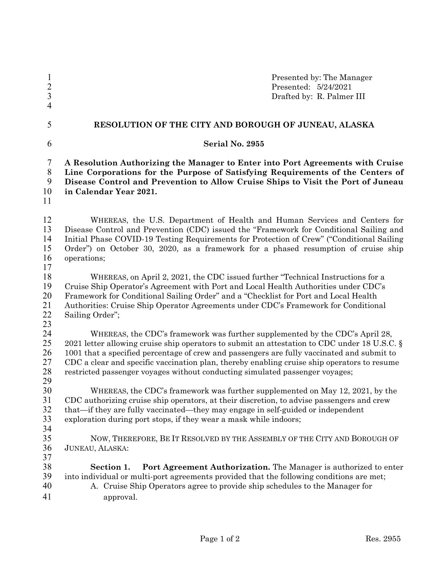| $\mathbf{1}$<br>$\frac{2}{3}$<br>$\overline{4}$ | Presented by: The Manager<br>Presented: 5/24/2021<br>Drafted by: R. Palmer III                                                                                                                                                                                                                                                                                                                                                                            |  |  |  |
|-------------------------------------------------|-----------------------------------------------------------------------------------------------------------------------------------------------------------------------------------------------------------------------------------------------------------------------------------------------------------------------------------------------------------------------------------------------------------------------------------------------------------|--|--|--|
| 5                                               | RESOLUTION OF THE CITY AND BOROUGH OF JUNEAU, ALASKA                                                                                                                                                                                                                                                                                                                                                                                                      |  |  |  |
| 6                                               | Serial No. 2955                                                                                                                                                                                                                                                                                                                                                                                                                                           |  |  |  |
| $\overline{7}$<br>$8\,$<br>9<br>10<br>11        | A Resolution Authorizing the Manager to Enter into Port Agreements with Cruise<br>Line Corporations for the Purpose of Satisfying Requirements of the Centers of<br>Disease Control and Prevention to Allow Cruise Ships to Visit the Port of Juneau<br>in Calendar Year 2021.                                                                                                                                                                            |  |  |  |
| 12<br>13<br>14<br>15<br>16<br>17                | WHEREAS, the U.S. Department of Health and Human Services and Centers for<br>Disease Control and Prevention (CDC) issued the "Framework for Conditional Sailing and<br>Initial Phase COVID-19 Testing Requirements for Protection of Crew" ("Conditional Sailing<br>Order") on October 30, 2020, as a framework for a phased resumption of cruise ship<br>operations;                                                                                     |  |  |  |
| 18<br>19<br>20<br>21<br>22<br>23                | WHEREAS, on April 2, 2021, the CDC issued further "Technical Instructions for a<br>Cruise Ship Operator's Agreement with Port and Local Health Authorities under CDC's<br>Framework for Conditional Sailing Order" and a "Checklist for Port and Local Health<br>Authorities: Cruise Ship Operator Agreements under CDC's Framework for Conditional<br>Sailing Order";                                                                                    |  |  |  |
| 24<br>25<br>26<br>27<br>28<br>29                | WHEREAS, the CDC's framework was further supplemented by the CDC's April 28,<br>2021 letter allowing cruise ship operators to submit an attestation to CDC under 18 U.S.C. §<br>1001 that a specified percentage of crew and passengers are fully vaccinated and submit to<br>CDC a clear and specific vaccination plan, thereby enabling cruise ship operators to resume<br>restricted passenger voyages without conducting simulated passenger voyages; |  |  |  |
| 30<br>31<br>32<br>33<br>34                      | WHEREAS, the CDC's framework was further supplemented on May 12, 2021, by the<br>CDC authorizing cruise ship operators, at their discretion, to advise passengers and crew<br>that-if they are fully vaccinated-they may engage in self-guided or independent<br>exploration during port stops, if they wear a mask while indoors;                                                                                                                        |  |  |  |
| 35<br>36<br>37                                  | NOW, THEREFORE, BE IT RESOLVED BY THE ASSEMBLY OF THE CITY AND BOROUGH OF<br>JUNEAU, ALASKA:                                                                                                                                                                                                                                                                                                                                                              |  |  |  |
| 38<br>39<br>40<br>41                            | Port Agreement Authorization. The Manager is authorized to enter<br>Section 1.<br>into individual or multi-port agreements provided that the following conditions are met;<br>A. Cruise Ship Operators agree to provide ship schedules to the Manager for<br>approval.                                                                                                                                                                                    |  |  |  |